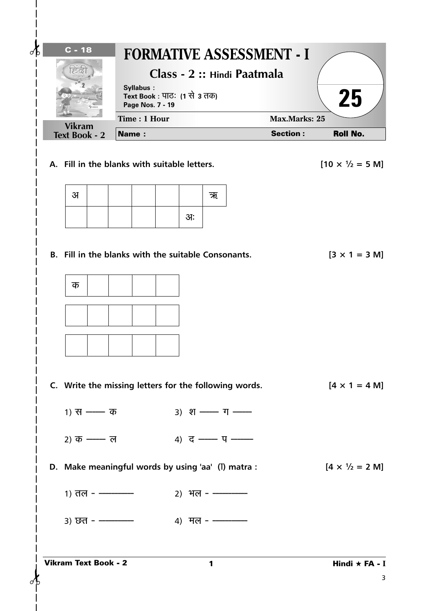|    | $C - 18$                                            |              |                               |                              |    |                      |                                                       | <b>FORMATIVE ASSESSMENT - I</b> |                                         |
|----|-----------------------------------------------------|--------------|-------------------------------|------------------------------|----|----------------------|-------------------------------------------------------|---------------------------------|-----------------------------------------|
|    |                                                     |              |                               |                              |    |                      | Class - 2 :: Hindi Paatmala                           |                                 |                                         |
|    |                                                     |              | Syllabus:<br>Page Nos. 7 - 19 | Text Book : पाठः (1 से 3 तक) |    |                      |                                                       |                                 | 25                                      |
|    | <b>Vikram</b>                                       |              | Time: 1 Hour                  |                              |    |                      |                                                       | <b>Max.Marks: 25</b>            |                                         |
|    | <b>Text Book - 2</b>                                | <b>Name:</b> |                               |                              |    |                      |                                                       | <b>Section:</b>                 | <b>Roll No.</b>                         |
|    | A. Fill in the blanks with suitable letters.        |              |                               |                              |    |                      |                                                       |                                 | $[10 \times \frac{1}{2} = 5 \text{ M}]$ |
| 31 |                                                     |              |                               |                              |    | ऋ                    |                                                       |                                 |                                         |
|    |                                                     |              |                               |                              | आः |                      |                                                       |                                 |                                         |
|    |                                                     |              |                               |                              |    |                      |                                                       |                                 |                                         |
|    | B. Fill in the blanks with the suitable Consonants. |              |                               |                              |    |                      |                                                       |                                 | $[3 \times 1 = 3 \text{ M}]$            |
| क  |                                                     |              |                               |                              |    |                      |                                                       |                                 |                                         |
|    |                                                     |              |                               |                              |    |                      |                                                       |                                 |                                         |
|    |                                                     |              |                               |                              |    |                      |                                                       |                                 |                                         |
|    |                                                     |              |                               |                              |    |                      |                                                       |                                 |                                         |
|    |                                                     |              |                               |                              |    |                      |                                                       |                                 |                                         |
|    |                                                     |              |                               |                              |    |                      | C. Write the missing letters for the following words. |                                 | $[4 \times 1 = 4 M]$                    |
|    | $1)$ स —— क                                         |              |                               |                              |    |                      | $3)$ श ––– ग –––                                      |                                 |                                         |
|    |                                                     |              |                               |                              |    |                      |                                                       |                                 |                                         |
|    | 2) क —— ल                                           |              |                               |                              |    |                      | 4) द —— प ——                                          |                                 |                                         |
|    |                                                     |              |                               |                              |    |                      | D. Make meaningful words by using 'aa' (I) matra :    |                                 | $[4 \times \frac{1}{2} = 2 \text{ M}]$  |
|    | $1)$ तल - ————                                      |              |                               |                              |    | <u>2) भल - —————</u> |                                                       |                                 |                                         |
|    | $3)$ छत - ————                                      |              |                               |                              |    | 4) मल - ————         |                                                       |                                 |                                         |
|    |                                                     |              |                               |                              |    |                      |                                                       |                                 |                                         |
|    | <b>Vikram Text Book - 2</b>                         |              |                               |                              |    | 1                    |                                                       |                                 | Hindi $\star$ FA - I                    |

 $\mathsf{l}$  $\overline{1}$  $\mathsf{l}$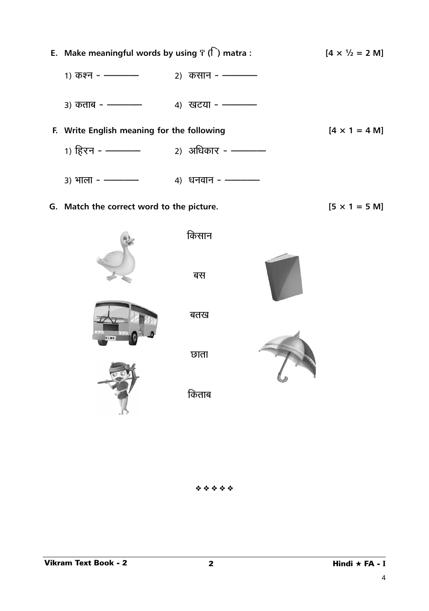



किताब

❖ ❖ ❖ ❖ ❖

4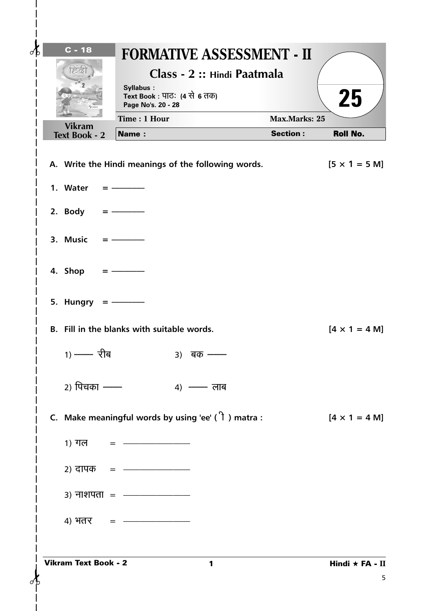| $C - 18$                              | <b>FORMATIVE ASSESSMENT - II</b><br>Class - 2 :: Hindi Paatmala<br>Syllabus:<br>Text Book : पाठः (4 से 6 तक) |                      | 25                           |
|---------------------------------------|--------------------------------------------------------------------------------------------------------------|----------------------|------------------------------|
|                                       | Page No's. 20 - 28<br>Time: 1 Hour                                                                           | <b>Max.Marks: 25</b> |                              |
| <b>Vikram</b><br><b>Text Book - 2</b> | <b>Name:</b>                                                                                                 | <b>Section:</b>      | Roll No.                     |
|                                       | A. Write the Hindi meanings of the following words.                                                          |                      | $[5 \times 1 = 5 \text{ M}]$ |
| 1. Water                              |                                                                                                              |                      |                              |
| 2. Body                               |                                                                                                              |                      |                              |
| 3. Music                              |                                                                                                              |                      |                              |
| 4. Shop                               |                                                                                                              |                      |                              |
| 5. Hungry                             |                                                                                                              |                      |                              |
|                                       | B. Fill in the blanks with suitable words.                                                                   |                      | $[4 \times 1 = 4 M]$         |
| 1) —— रीब                             | 3) बक-                                                                                                       |                      |                              |
| 2) पिचका ——                           | $4)$ —— लाब                                                                                                  |                      |                              |
|                                       | C. Make meaningful words by using 'ee' $(1)$ matra :                                                         |                      | $[4 \times 1 = 4 M]$         |
|                                       | 1) गल $=$ ———————                                                                                            |                      |                              |
|                                       | 2) दापक = ———————                                                                                            |                      |                              |
|                                       | $3)$ नाशपता = $\frac{1}{2}$                                                                                  |                      |                              |
|                                       | 4) $4\pi$                                                                                                    |                      |                              |
| <b>Vikram Text Book - 2</b>           | 1                                                                                                            |                      | Hindi $\star$ FA - II<br>5   |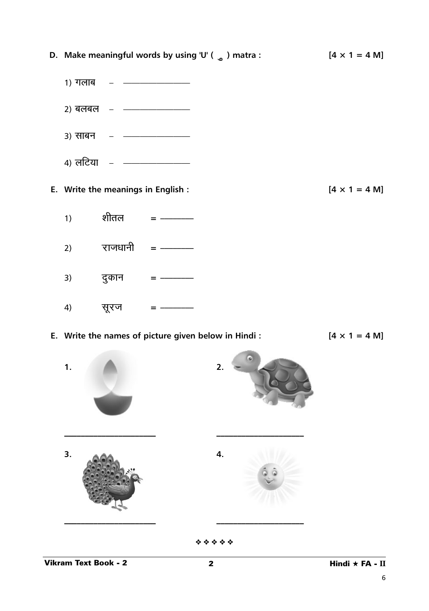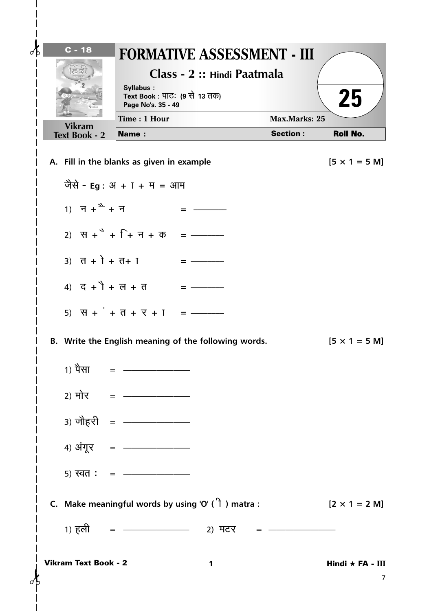| $\lambda$ | $C - 18$<br>ನಡ                             | Syllabus:<br>Text Book : पाठः (9 से 13 तक)<br>Page No's. 35 - 49 | <b>FORMATIVE ASSESSMENT - III</b><br>Class - 2 :: Hindi Paatmala |                      | 25                           |
|-----------|--------------------------------------------|------------------------------------------------------------------|------------------------------------------------------------------|----------------------|------------------------------|
|           | <b>Vikram</b>                              | Time: 1 Hour                                                     |                                                                  | <b>Max.Marks: 25</b> |                              |
|           | <b>Text Book - 2</b>                       | <b>Name:</b>                                                     |                                                                  | <b>Section:</b>      | <b>Roll No.</b>              |
|           | A. Fill in the blanks as given in example  |                                                                  |                                                                  |                      | $[5 \times 1 = 5 \text{ M}]$ |
|           |                                            | जैसे - Eg : अ + T + म = आम                                       |                                                                  |                      |                              |
|           | 1) $\bar{f} + \sum_{k=1}^{N} f_k$          |                                                                  |                                                                  |                      |                              |
|           |                                            |                                                                  |                                                                  |                      |                              |
|           | 3) $\vec{d} + \vec{l} + \vec{d} + \vec{l}$ |                                                                  |                                                                  |                      |                              |
|           | 4) $\vec{G} + \vec{1} + \vec{G} + \vec{d}$ |                                                                  |                                                                  |                      |                              |
|           |                                            | $- = 1 + 7 + 7 + 1$                                              |                                                                  |                      |                              |
|           |                                            |                                                                  | B. Write the English meaning of the following words.             |                      | $[5 \times 1 = 5 \text{ M}]$ |
|           | 1) पैसा                                    |                                                                  |                                                                  |                      |                              |
|           |                                            | 2) मोर = ———————                                                 |                                                                  |                      |                              |
|           |                                            | 3) जोहरी = $\frac{1}{2}$                                         |                                                                  |                      |                              |
|           |                                            | 4) अंगूर = $\frac{1}{2}$                                         |                                                                  |                      |                              |
|           |                                            |                                                                  |                                                                  |                      |                              |
|           |                                            |                                                                  | C. Make meaningful words by using 'O' $(1)$ matra :              |                      | $[2 \times 1 = 2 \text{ M}]$ |
|           | 1) हली =                                   |                                                                  | $\frac{1}{2}$ 2) मटर = $\frac{1}{2}$                             |                      |                              |
|           | <b>Vikram Text Book - 2</b>                |                                                                  | 1                                                                |                      | Hindi $\star$ FA - III       |
|           |                                            |                                                                  |                                                                  |                      | 7                            |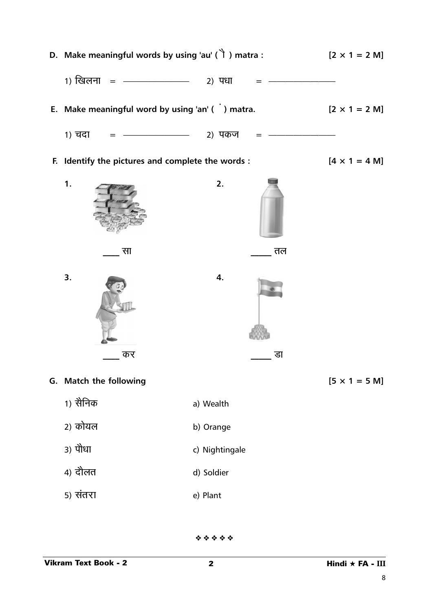

❖ ❖ ❖ ❖ ❖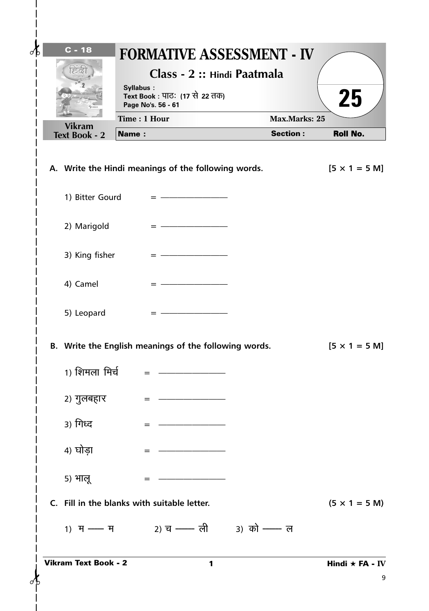| $c - 18$                                                                   | <b>FORMATIVE ASSESSMENT - IV</b><br>Class - 2 :: Hindi Paatmala<br>Syllabus:<br>Text Book : पाठः (17 से 22 तक) |                                         | 25                         |
|----------------------------------------------------------------------------|----------------------------------------------------------------------------------------------------------------|-----------------------------------------|----------------------------|
|                                                                            | Page No's. 56 - 61                                                                                             |                                         |                            |
| <b>Vikram</b><br><b>Text Book - 2</b>                                      | Time: 1 Hour<br><b>Name:</b>                                                                                   | <b>Max.Marks: 25</b><br><b>Section:</b> | <b>Roll No.</b>            |
| 1) Bitter Gourd<br>2) Marigold<br>3) King fisher<br>4) Camel<br>5) Leopard | A. Write the Hindi meanings of the following words.<br>$= -$                                                   |                                         | $[5 \times 1 = 5 M]$       |
| 1) शिमला मिर्च<br>2) गुलबहार<br>3) गिध्द<br>4) घोड़ा                       | B. Write the English meanings of the following words.<br>$=$<br>$=$                                            |                                         | $[5 \times 1 = 5 M]$       |
| 5) भालू<br><b>Vikram Text Book - 2</b>                                     | C. Fill in the blanks with suitable letter.<br>1) म — म 2) च — ली 3) को — ल<br>1                               |                                         | $(5 \times 1 = 5 M)$       |
|                                                                            |                                                                                                                |                                         | Hindi $\star$ FA - IV<br>9 |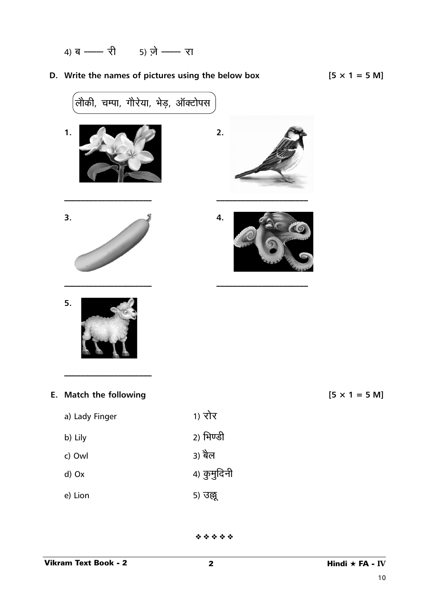$$
4) \, \overline{q} \, \overline{\!\!\text{---}} \, \overline{\!\!\text{---}} \, \overline{\!\!\text{---}} \, \overline{\!\!\text{---}} \, \overline{\!\!\text{---}} \, \overline{\!\!\text{---}} \, \overline{\!\!\text{---}} \, \overline{\!\!\text{---}} \, \overline{\!\!\text{---}} \, \overline{\!\!\text{---}} \, \overline{\!\!\text{---}} \, \overline{\!\!\text{---}} \, \overline{\!\!\text{---}} \, \overline{\!\!\text{---}} \, \overline{\!\!\text{---}} \, \overline{\!\!\text{---}} \, \overline{\!\!\text{---}} \, \overline{\!\!\text{---}} \, \overline{\!\!\text{---}} \, \overline{\!\!\text{---}} \, \overline{\!\!\text{---}} \, \overline{\!\!\text{---}} \, \overline{\!\!\text{---}} \, \overline{\!\!\text{---}} \, \overline{\!\!\text{---}} \, \overline{\!\!\text{---}} \, \overline{\!\!\text{---}} \, \overline{\!\!\text{---}} \, \overline{\!\!\text{---}} \, \overline{\!\!\text{---}} \, \overline{\!\!\text{---}} \, \overline{\!\!\text{---}} \, \overline{\!\!\text{---}} \, \overline{\!\!\text{---}} \, \overline{\!\!\text{---}} \, \overline{\!\!\text{---}} \, \overline{\!\!\text{---}} \, \overline{\!\!\text{---}} \, \overline{\!\!\text{---}} \, \overline{\!\!\text{---}} \, \overline{\!\!\text{---}} \, \overline{\!\!\text{---}} \, \overline{\!\!\text{---}} \, \overline{\!\!\text{---}} \, \overline{\!\!\text{---}} \, \overline{\!\!\text{---}} \, \overline{\!\!\text{---}} \, \overline{\!\!\text{---}} \, \overline{\!\!\text{---}} \, \overline{\!\!\text{---}} \, \overline{\!\!\text{---}} \, \overline{\!\!\text{---}} \, \overline{\!\!\text{---}} \, \overline{\!\!\text{---}} \, \overline{\!\!\text{---}} \, \overline{\!\!\text{---}} \, \overline{\!\!\text{---}} \, \overline{\!\!\text{---}} \, \overline{\!\!\text{---}} \, \overline{\!\!\text{---}} \, \overline{\!\!\text{---}} \, \overline{\!\!\text{---}} \, \overline
$$

## **D.** Write the names of pictures using the below box

$$
[5 \times 1 = 5 \text{ M}]
$$

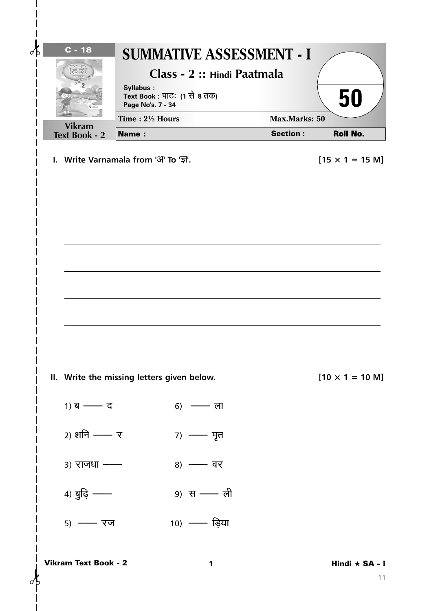| $\mathcal{A}$ | $C - 18$                                                      | Syllabus:<br>Page No's. 7 - 34 | <b>SUMMATIVE ASSESSMENT - I</b><br>Class - 2 :: Hindi Paatmala<br>Text Book : पाठः (1 से 8 तक) |                                         | 50                                                |
|---------------|---------------------------------------------------------------|--------------------------------|------------------------------------------------------------------------------------------------|-----------------------------------------|---------------------------------------------------|
|               | <b>Vikram</b>                                                 | Time: 21/2 Hours               |                                                                                                | <b>Max.Marks: 50</b><br><b>Section:</b> |                                                   |
|               | <b>Text Book - 2</b><br>I. Write Varnamala from '3" To 'ज्ञ'. | Name:                          |                                                                                                |                                         | <b>Roll No.</b><br>$[15 \times 1 = 15 \text{ M}]$ |
|               |                                                               |                                |                                                                                                |                                         |                                                   |
|               |                                                               |                                |                                                                                                |                                         |                                                   |
|               | II. Write the missing letters given below.                    |                                |                                                                                                |                                         | $[10 \times 1 = 10 \text{ M}]$                    |
|               | $1)$ ब —— द                                                   |                                | 6) — ला                                                                                        |                                         |                                                   |
|               | 2) शनि —— र                                                   |                                | 7) —— मृत                                                                                      |                                         |                                                   |
|               | 3) राजधा -                                                    |                                | 8) - वर                                                                                        |                                         |                                                   |
|               | 4) बुद्धि --                                                  |                                | 9) स - ली                                                                                      |                                         |                                                   |
|               | 5) - रज                                                       |                                | 10) — ड़िया                                                                                    |                                         |                                                   |
| σĿ            | <b>Vikram Text Book - 2</b>                                   |                                | 1                                                                                              |                                         | Hindi ★ SA - I<br>11                              |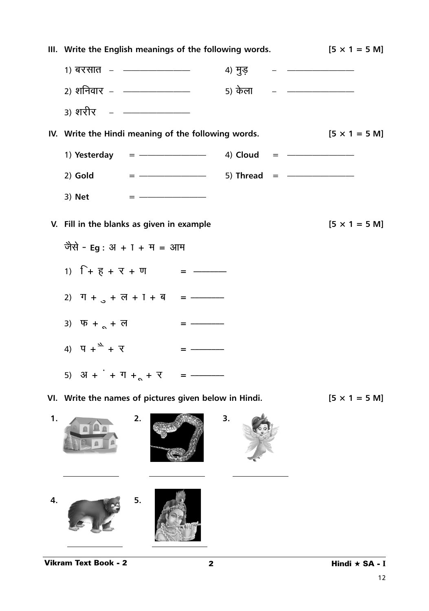|    |                                                                                                  | III. Write the English meanings of the following words.                                                                                 | $[5 \times 1 = 5 \text{ M}]$ |
|----|--------------------------------------------------------------------------------------------------|-----------------------------------------------------------------------------------------------------------------------------------------|------------------------------|
|    |                                                                                                  |                                                                                                                                         |                              |
|    |                                                                                                  |                                                                                                                                         |                              |
|    | <u>3) शरीर   –   ————————</u>                                                                    |                                                                                                                                         |                              |
|    | IV. Write the Hindi meaning of the following words.                                              |                                                                                                                                         | $[5 \times 1 = 5 \text{ M}]$ |
|    |                                                                                                  | 1) Yesterday = $\frac{1}{2}$ = 4) Cloud = $\frac{1}{2}$                                                                                 |                              |
|    |                                                                                                  | 2) Gold = $\frac{1}{2}$ = $\frac{1}{2}$ = $\frac{1}{2}$ = $\frac{1}{2}$ = $\frac{1}{2}$ = $\frac{1}{2}$ = $\frac{1}{2}$ = $\frac{1}{2}$ |                              |
|    | 3) Net                                                                                           |                                                                                                                                         |                              |
|    | V. Fill in the blanks as given in example                                                        |                                                                                                                                         | $[5 \times 1 = 5 \text{ M}]$ |
|    | जैसे - Eg : अ + T + म = आम                                                                       |                                                                                                                                         |                              |
|    | 1) $\Gamma$ + $\overline{e}$ + $\overline{e}$ + $\overline{v}$ + $\overline{v}$ = $\overline{ -$ |                                                                                                                                         |                              |
|    | 2) $T + 3 + 2 + 1 + 1 =$ = -----                                                                 |                                                                                                                                         |                              |
|    | 3) $\Psi + \Delta + \overline{d}$                                                                | $\qquad \qquad \blacksquare$                                                                                                            |                              |
|    | 4) $\Pi + \Delta + \nabla$                                                                       | $\qquad \qquad =$                                                                                                                       |                              |
|    | 5) $3I + I + T + 1 + T + T$                                                                      | $\qquad \qquad \blacksquare$                                                                                                            |                              |
|    | VI. Write the names of pictures given below in Hindi.                                            |                                                                                                                                         | $[5 \times 1 = 5 M]$         |
| 1. | 2.                                                                                               | 3.                                                                                                                                      |                              |

**4. 5.**

12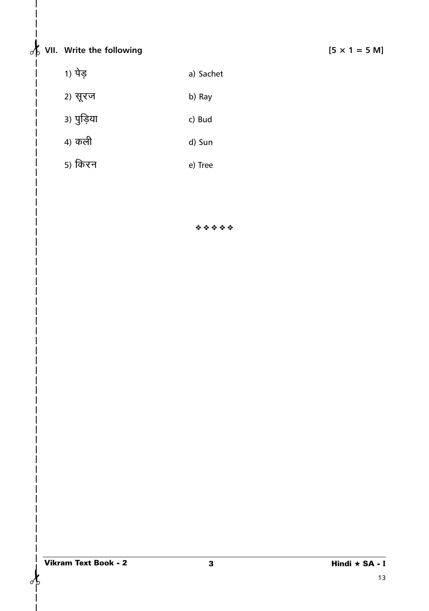## $\frac{1}{2}$  VII. Write the following  $\begin{bmatrix} 5 \times 1 = 5 \end{bmatrix}$

- 
- 1) पेड़ a) Sachet
- 2) सूरज b) Ray
- <sup>3)</sup> पुड़िया c) Bud
- 4) d) Sun
- 5) e) Tree

❖ ❖ ❖ ❖ ❖

✁ ✁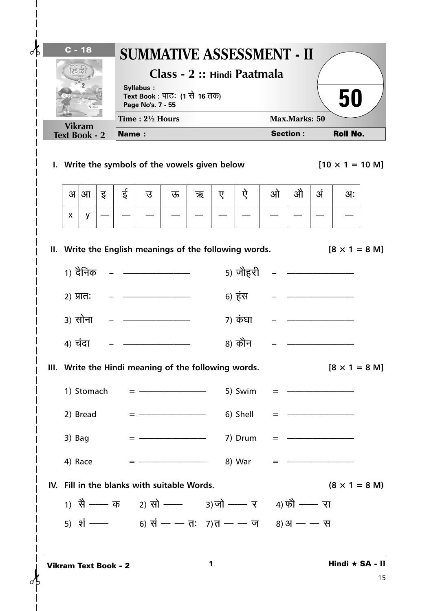| $C - 18$<br>ನಡ       |               |                             |              | Syllabus:<br>Page No's. 7 - 55 | Text Book : पाठः (1 से 16 तक)                                  |   |   | <b>SUMMATIVE ASSESSMENT - II</b><br>Class - 2 :: Hindi Paatmala |   |                                                                             |    | 50                             |    |
|----------------------|---------------|-----------------------------|--------------|--------------------------------|----------------------------------------------------------------|---|---|-----------------------------------------------------------------|---|-----------------------------------------------------------------------------|----|--------------------------------|----|
|                      | <b>Vikram</b> |                             |              | Time: $2\frac{1}{2}$ Hours     |                                                                |   |   |                                                                 |   | Max.Marks: 50                                                               |    |                                |    |
| <b>Text Book - 2</b> |               |                             | <b>Name:</b> |                                |                                                                |   |   |                                                                 |   | <b>Section:</b>                                                             |    | <b>Roll No.</b>                |    |
|                      |               |                             |              |                                | I. Write the symbols of the vowels given below                 |   |   |                                                                 |   |                                                                             |    | $[10 \times 1 = 10 \text{ M}]$ |    |
| अ                    | आ             | इ                           | ई            | उ                              | ऊ                                                              | ऋ | ए | ऐ                                                               | ओ | ओे                                                                          | अं | 3I:                            |    |
| X                    | y             |                             |              |                                |                                                                |   |   |                                                                 |   |                                                                             |    |                                |    |
|                      |               |                             |              |                                |                                                                |   |   | II. Write the English meanings of the following words.          |   |                                                                             |    | $[8 \times 1 = 8 \text{ M}]$   |    |
|                      |               |                             |              |                                | 1) दैनिक   –   ———————                                         |   |   | <u>5) जौहरी   –   ———————</u>                                   |   |                                                                             |    |                                |    |
| $2)$ प्रातः          |               |                             |              |                                |                                                                |   |   | 6) हंस                                                          |   |                                                                             |    |                                |    |
|                      | ३) सोना       |                             |              |                                | <u> 2001 - Alexandro Alexandro III e alexandro de la conte</u> |   |   | ७) कंघा                                                         |   |                                                                             |    |                                |    |
| 4) चंदा              |               |                             |              |                                |                                                                |   |   | 8) कौन                                                          |   |                                                                             |    |                                |    |
|                      |               |                             |              |                                |                                                                |   |   | III. Write the Hindi meaning of the following words.            |   |                                                                             |    | $[8 \times 1 = 8 \text{ M}]$   |    |
|                      |               |                             |              |                                |                                                                |   |   | 1) Stomach = $\frac{1}{2}$ = 5) Swim                            |   | $=$ $-$                                                                     |    |                                |    |
|                      |               | 2) Bread                    |              |                                |                                                                |   |   | 6) Shell                                                        |   | = - <del>---------</del>                                                    |    |                                |    |
| 3) Bag               |               |                             |              |                                |                                                                |   |   |                                                                 |   |                                                                             |    |                                |    |
| 4) Race              |               |                             |              |                                |                                                                |   |   | $=$ $-$ 8) War                                                  |   | $\qquad \qquad \blacksquare \qquad \qquad \blacksquare \qquad \blacksquare$ |    |                                |    |
|                      |               |                             |              |                                | IV. Fill in the blanks with suitable Words.                    |   |   |                                                                 |   |                                                                             |    | $(8 \times 1 = 8$ M)           |    |
|                      |               |                             |              |                                |                                                                |   |   | 1) सै --- क 2) सो --- 3) जो --- र 4) फो --- रा                  |   |                                                                             |    |                                |    |
|                      |               |                             |              |                                |                                                                |   |   | 5) शं ---- 6) सं -- - तः 7)त -- - ज 8) अ -- - स                 |   |                                                                             |    |                                |    |
|                      |               | <b>Vikram Text Book - 2</b> |              |                                |                                                                |   | 1 |                                                                 |   |                                                                             |    | Hindi ★ SA - II                | 15 |

 $\overline{\phantom{a}}$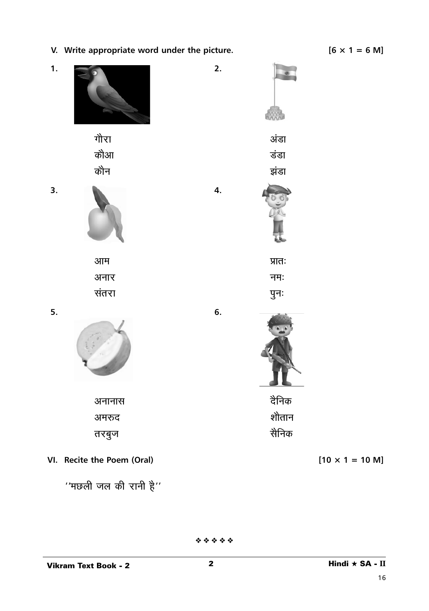

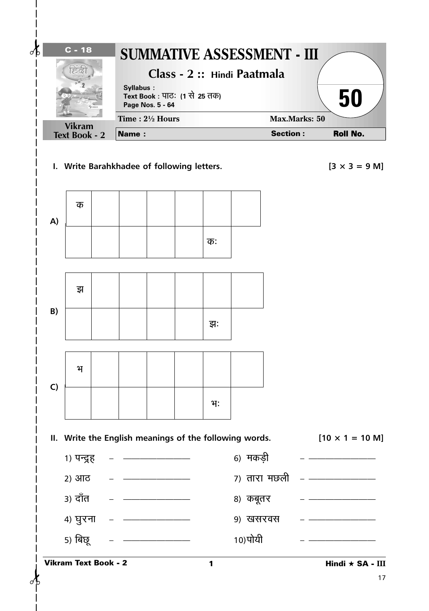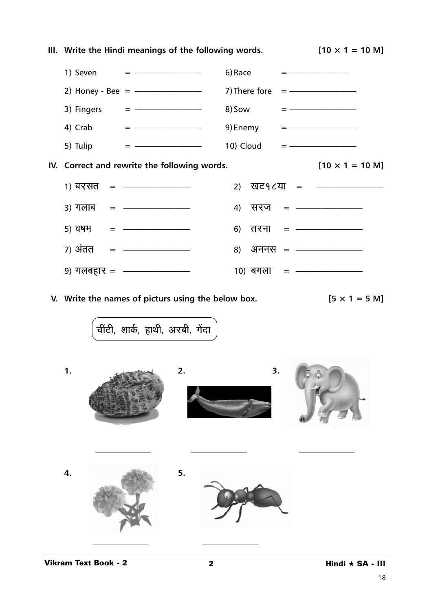|  | III. Write the Hindi meanings of the following words.          |                        | $[10 \times 1 = 10 \text{ M}]$ |
|--|----------------------------------------------------------------|------------------------|--------------------------------|
|  | 1) Seven $=$ $-$                                               | 6) Race $=$ $-$        |                                |
|  | 2) Honey - Bee = $\frac{1}{2}$ - 7) There fore = $\frac{1}{2}$ |                        |                                |
|  |                                                                |                        |                                |
|  | 4) Crab $=$ $-$                                                | 9) Enemy $=$ $-$       |                                |
|  | 5) Tulip $=$ $-$                                               |                        |                                |
|  | IV. Correct and rewrite the following words.                   |                        | $[10 \times 1 = 10 \text{ M}]$ |
|  | 1) बरसत = ———————                                              |                        | 2) खट9८या = ———————            |
|  | $3)$ गलाब = $\frac{1}{2}$                                      | 4) सरज = $\frac{1}{2}$ |                                |
|  | $(5)$ वर्षभ = ———————                                          | 6) तरना = ———————      |                                |
|  | 7) अंतत = $\frac{1}{1}$                                        | 8) अननस = ———————      |                                |
|  | 9) गलबहार = $\frac{1}{2}$                                      | 10) बगला = ———————     |                                |

**V.** Write the names of picturs using the below box.  $[5 \times 1 = 5 \text{ M}]$ 

.<br>चींटी, शार्क, हाथी, अरबी, गेंदा